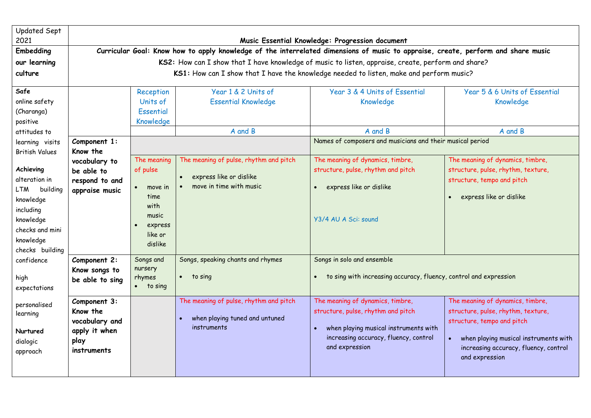| Updated Sept<br>2021                                                                                                                    |                                                                                                                                                                                               |                                                                                                           |                                                                                              | Music Essential Knowledge: Progression document                                                                                                                                         |                                                                                                                                                                                                                       |  |  |  |  |  |  |
|-----------------------------------------------------------------------------------------------------------------------------------------|-----------------------------------------------------------------------------------------------------------------------------------------------------------------------------------------------|-----------------------------------------------------------------------------------------------------------|----------------------------------------------------------------------------------------------|-----------------------------------------------------------------------------------------------------------------------------------------------------------------------------------------|-----------------------------------------------------------------------------------------------------------------------------------------------------------------------------------------------------------------------|--|--|--|--|--|--|
| <b>Embedding</b>                                                                                                                        | Curricular Goal: Know how to apply knowledge of the interrelated dimensions of music to appraise, create, perform and share music                                                             |                                                                                                           |                                                                                              |                                                                                                                                                                                         |                                                                                                                                                                                                                       |  |  |  |  |  |  |
| our learning                                                                                                                            | KS2: How can I show that I have knowledge of music to listen, appraise, create, perform and share?<br>KS1: How can I show that I have the knowledge needed to listen, make and perform music? |                                                                                                           |                                                                                              |                                                                                                                                                                                         |                                                                                                                                                                                                                       |  |  |  |  |  |  |
| culture                                                                                                                                 |                                                                                                                                                                                               |                                                                                                           |                                                                                              |                                                                                                                                                                                         |                                                                                                                                                                                                                       |  |  |  |  |  |  |
| Safe<br>online safety<br>(Charanga)<br>positive                                                                                         |                                                                                                                                                                                               | Reception<br>Units of<br>Essential<br>Knowledge                                                           | Year 1 & 2 Units of<br><b>Essential Knowledge</b>                                            | Year 3 & 4 Units of Essential<br>Knowledge                                                                                                                                              | Year 5 & 6 Units of Essential<br>Knowledge                                                                                                                                                                            |  |  |  |  |  |  |
| attitudes to                                                                                                                            |                                                                                                                                                                                               |                                                                                                           | A and B                                                                                      | A and B                                                                                                                                                                                 | A and B                                                                                                                                                                                                               |  |  |  |  |  |  |
| learning visits<br><b>British Values</b>                                                                                                | Component 1:<br>Know the                                                                                                                                                                      |                                                                                                           |                                                                                              | Names of composers and musicians and their musical period                                                                                                                               |                                                                                                                                                                                                                       |  |  |  |  |  |  |
| Achieving<br>alteration in<br>building<br>LTM<br>knowledge<br>including<br>knowledge<br>checks and mini<br>knowledge<br>checks building | vocabulary to<br>be able to<br>respond to and<br>appraise music                                                                                                                               | The meaning<br>of pulse<br>$\bullet$<br>move in<br>time<br>with<br>music<br>express<br>like or<br>dislike | The meaning of pulse, rhythm and pitch<br>express like or dislike<br>move in time with music | The meaning of dynamics, timbre,<br>structure, pulse, rhythm and pitch<br>express like or dislike<br>$\bullet$<br>Y3/4 AU A Sci: sound                                                  | The meaning of dynamics, timbre,<br>structure, pulse, rhythm, texture,<br>structure, tempo and pitch<br>express like or dislike<br>$\bullet$                                                                          |  |  |  |  |  |  |
| confidence<br>high<br>expectations                                                                                                      | Component 2:<br>Know songs to<br>be able to sing                                                                                                                                              | Songs and<br>nursery<br>rhymes<br>$\bullet$ to sing                                                       | Songs, speaking chants and rhymes<br>$\bullet$ to sing                                       | Songs in solo and ensemble<br>to sing with increasing accuracy, fluency, control and expression<br>$\bullet$                                                                            |                                                                                                                                                                                                                       |  |  |  |  |  |  |
| personalised<br>learning<br>Nurtured<br>dialogic<br>approach                                                                            | Component 3:<br>Know the<br>vocabulary and<br>apply it when<br>play<br>instruments                                                                                                            |                                                                                                           | The meaning of pulse, rhythm and pitch<br>when playing tuned and untuned<br>instruments      | The meaning of dynamics, timbre,<br>structure, pulse, rhythm and pitch<br>when playing musical instruments with<br>$\bullet$<br>increasing accuracy, fluency, control<br>and expression | The meaning of dynamics, timbre,<br>structure, pulse, rhythm, texture,<br>structure, tempo and pitch<br>when playing musical instruments with<br>$\bullet$<br>increasing accuracy, fluency, control<br>and expression |  |  |  |  |  |  |